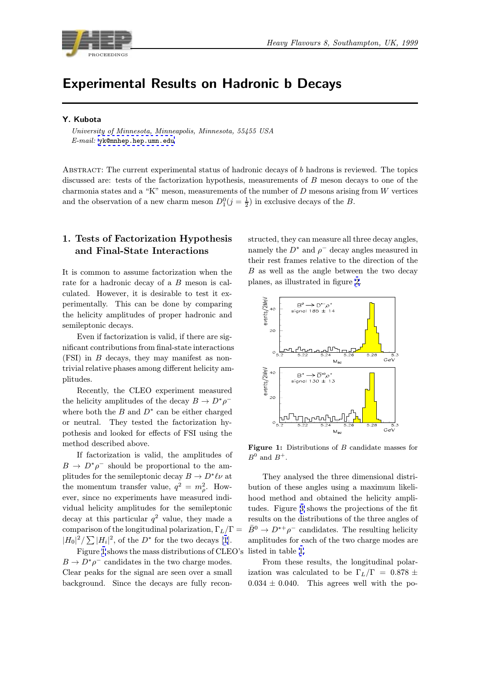

# Experimental Results on Hadronic b Decays

### Y. Kubota

University of Minnesota, Minneapolis, Minnesota, 55455 USA E-mail: yk@mnhep.hep.umn.edu

Abstract: The current experimental status of hadronic decays of b hadrons is reviewed. The topics discussed [are: tests of the facto](mailto:yk@mnhep.hep.umn.edu)rization hypothesis, measurements of B meson decays to one of the charmonia states and a "K" meson, measurements of the number of  $D$  mesons arising from  $W$  vertices and the observation of a new charm meson  $D_1^0(j = \frac{1}{2})$  in exclusive decays of the B.

## 1. Tests of Factorization Hypothesis and Final-State Interactions

It is common to assume factorization when the rate for a hadronic decay of a B meson is calculated. However, it is desirable to test it experimentally. This can be done by comparing the helicity amplitudes of proper hadronic and semileptonic decays.

Even if factorization is valid, if there are significant contributions from final-state interactions (FSI) in B decays, they may manifest as nontrivial relative phases among different helicity amplitudes.

Recently, the CLEO experiment measured the helicity amplitudes of the decay  $B \to D^* \rho^$ where both the  $B$  and  $D^*$  can be either charged or neutral. They tested the factorization hypothesis and looked for effects of FSI using the method described above.

If factorization is valid, the amplitudes of  $B \to D^*\rho^-$  should be proportional to the amplitudes for the semileptonic decay  $B \to D^*\ell\nu$  at the momentum transfer value,  $q^2 = m_o^2$ . However, since no experiments have measured individual helicity amplitudes for the semileptonic decay at this particular  $q^2$  value, they made a comparison of the longitudinal polarization,  $\Gamma_L/\Gamma =$  $|H_0|^2 / \sum |H_i|^2$ , of the  $D^*$  for the two decays [1].

Figure 1 shows the mass distributions of CLEO's  $B \to D^* \rho^-$  candidates in the two charge modes. Clear peaks for the signal are seen over a small background. Since the decays are fully rec[on](#page-7-0)-

structed, they can measure all three decay angles, namely the  $D^*$  and  $\rho^-$  decay angles measured in their rest frames relative to the direction of the B as well as the angle between the two decay planes, as illustrated in figure 2.



Figure 1: Distributions of B candidate masses for  $B^0$  and  $B^+$ .

They analysed the three dimensional distribution of these angles using a maximum likelihood method and obtained the helicity amplitudes. Figure 3 shows the projections of the fit results on the distributions of the three angles of  $\bar{B}^0 \to D^{*+} \rho^-$  candidates. The resulting helicity amplitudes for each of the two charge modes are listed in table [1.](#page-1-0)

From these results, the longitudinal polarization was calculated to be  $\Gamma_L/\Gamma = 0.878 \pm 1$  $0.034 \pm 0.040$ . This agrees well with the po-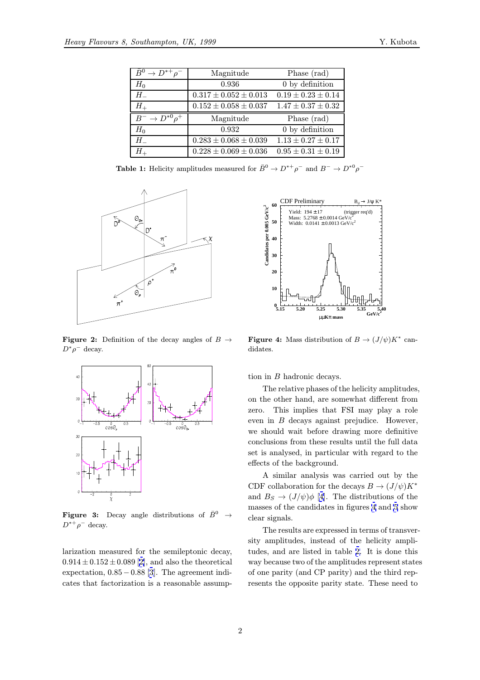<span id="page-1-0"></span>

| $\bar{B}^0 \to D^{*+}\rho^-$       | Magnitude                   | Phase (rad)              |
|------------------------------------|-----------------------------|--------------------------|
| $H_0$                              | 0.936                       | 0 by definition          |
| $H_{-}$                            | $0.317 \pm 0.052 \pm 0.013$ | $0.19 \pm 0.23 \pm 0.14$ |
| $H_{+}$                            | $0.152 \pm 0.058 \pm 0.037$ | $1.47 \pm 0.37 \pm 0.32$ |
|                                    |                             |                          |
| $\overline{B}^- \to D^{*0} \rho^+$ | Magnitude                   | Phase (rad)              |
| $H_0$                              | 0.932                       | 0 by definition          |
| $H^-$                              | $0.283 \pm 0.068 \pm 0.039$ | $1.13 \pm 0.27 \pm 0.17$ |

**Table 1:** Helicity amplitudes measured for  $\bar{B}^0 \to D^{*+} \rho^-$  and  $B^- \to D^{*0} \rho^-$ 



**Figure 2:** Definition of the decay angles of  $B \rightarrow$  $D^*\rho^-$  decay.



**Figure 3:** Decay angle distributions of  $\bar{B}^0 \rightarrow$  $D^{*+}\rho^-$  decay.

larization measured for the semileptonic decay,  $0.914 \pm 0.152 \pm 0.089$  [2], and also the theoretical expectation, 0.85−0.88 [3]. The agreement indicates that factorization is a reasonable assump-



**Figure 4:** Mass distribution of  $B \to (J/\psi)K^*$  candidates.

tion in B hadronic decays.

The relative phases of the helicity amplitudes, on the other hand, are somewhat different from zero. This implies that FSI may play a role even in B decays against prejudice. However, we should wait before drawing more definitive conclusions from these results until the full data set is analysed, in particular with regard to the effects of the background.

A similar analysis was carried out by the CDF collaboration for the decays  $B \to (J/\psi)K^*$ and  $B_s \to (J/\psi)\phi$  [4]. The distributions of the masses of the candidates in figures 4 and 5 show clear signals.

The results are expressed in terms of transversity amplitudes, in[ste](#page-7-0)ad of the helicity amplitudes, and are listed in table 2. It is do[n](#page-2-0)e this way because two of the amplitudes represent states of one parity (and CP parity) and the third represents the opposite parity sta[te](#page-3-0). These need to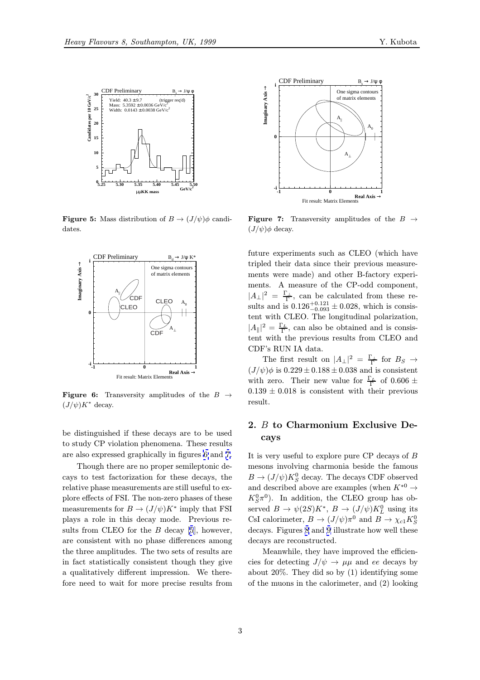<span id="page-2-0"></span>

**Figure 5:** Mass distribution of  $B \to (J/\psi)\phi$  candidates.



**Figure 6:** Transversity amplitudes of the  $B \rightarrow$  $(J/\psi)K^*$  decay.

be distinguished if these decays are to be used to study CP violation phenomena. These results are also expressed graphically in figures 6 and 7.

Though there are no proper semileptonic decays to test factorization for these decays, the relative phase measurements are still useful to explore effects of FSI. The non-zero phases of these measurements for  $B \to (J/\psi)K^*$  imply that FSI plays a role in this decay mode. Previous results from CLEO for the  $B$  decay [5], however, are consistent with no phase differences among the three amplitudes. The two sets of results are in fact statistically consistent though they give a qualitatively different impression[.](#page-7-0) We therefore need to wait for more precise results from



**Figure 7:** Transversity amplitudes of the  $B \rightarrow$  $(J/\psi)\phi$  decay.

future experiments such as CLEO (which have tripled their data since their previous measurements were made) and other B-factory experiments. A measure of the CP-odd component,  $|A_{\perp}|^2 = \frac{\Gamma_{\perp}}{\Gamma}$ , can be calculated from these results and is  $0.126_{-0.093}^{+0.121} \pm 0.028$ , which is consistent with CLEO. The longitudinal polarization,  $|A_{\parallel}|^2 = \frac{\Gamma_L}{\Gamma}$ , can also be obtained and is consistent with the previous results from CLEO and CDF's RUN IA data.

The first result on  $|A_{\perp}|^2 = \frac{\Gamma_{\perp}}{\Gamma}$  for  $B_S \to$  $(J/\psi)\phi$  is  $0.229 \pm 0.188 \pm 0.038$  and is consistent with zero. Their new value for  $\frac{\Gamma_L}{\Gamma}$  of 0.606  $\pm$  $0.139 \pm 0.018$  is consistent with their previous result.

## 2. B to Charmonium Exclusive Decays

It is very useful to explore pure CP decays of B mesons involving charmonia beside the famous  $B \to (J/\psi) K^0_S$  decay. The decays CDF observed and described above are examples (when  $K^{*0} \rightarrow$  $K_S^0 \pi^0$ ). In addition, the CLEO group has observed  $B \to \psi(2S)K^*, B \to (J/\psi)K^0_L$  using its CsI calorimeter,  $B \to (J/\psi)\pi^0$  and  $B \to \chi_{c1} K^0_S$ decays. Figures 8 and 9 illustrate how well these decays are reconstructed.

Meanwhile, they have improved the efficiencies for detecting  $J/\psi \rightarrow \mu\mu$  and ee decays by about 20%. Th[ey](#page-3-0) did [so](#page-3-0) by (1) identifying some of the muons in the calorimeter, and (2) looking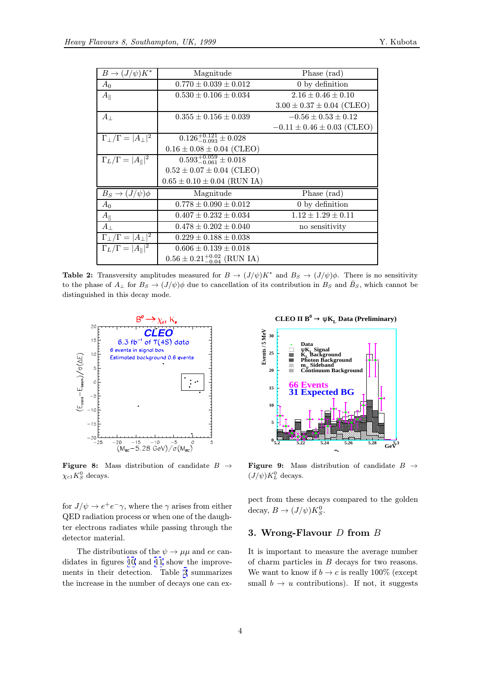<span id="page-3-0"></span>

| $B \to (J/\psi)K^*$                     | Magnitude                                | Phase (rad)                      |
|-----------------------------------------|------------------------------------------|----------------------------------|
| $A_0$                                   | $0.770 \pm 0.039 \pm 0.012$              | 0 by definition                  |
| $A_{\parallel}$                         | $0.530 \pm 0.106 \pm 0.034$              | $2.16 \pm 0.46 \pm 0.10$         |
|                                         |                                          | $3.00 \pm 0.37 \pm 0.04$ (CLEO)  |
| $A_{\perp}$                             | $0.355 \pm 0.156 \pm 0.039$              | $-0.56 \pm 0.53 \pm 0.12$        |
|                                         |                                          | $-0.11 \pm 0.46 \pm 0.03$ (CLEO) |
| $\Gamma_{\perp}/\Gamma =  A_{\perp} ^2$ | $0.126_{-0.093}^{+0.121} \pm 0.028$      |                                  |
|                                         | $0.16 \pm 0.08 \pm 0.04$ (CLEO)          |                                  |
| $\Gamma_L/\Gamma =  A_{\parallel} ^2$   | $0.593_{-0.061}^{+0.059} \pm 0.018$      |                                  |
|                                         | $0.52 \pm 0.07 \pm 0.04$ (CLEO)          |                                  |
|                                         | $0.65 \pm 0.10 \pm 0.04$ (RUN IA)        |                                  |
| $B_S \to (J/\psi)\phi$                  | Magnitude                                | Phase (rad)                      |
| $A_0$                                   | $0.778 \pm 0.090 \pm 0.012$              | 0 by definition                  |
| $A_{\parallel}$                         | $0.407 \pm 0.232 \pm 0.034$              | $1.12 \pm 1.29 \pm 0.11$         |
| $A_{\perp}$                             | $0.478 \pm 0.202 \pm 0.040$              | no sensitivity                   |
| $\Gamma_{\perp}/\Gamma =  A_{\perp} ^2$ | $0.229 \pm 0.188 \pm 0.038$              |                                  |
| $\Gamma_L/\Gamma =  A_{\parallel} ^2$   | $0.606 \pm 0.139 \pm 0.018$              |                                  |
|                                         | $0.56 \pm 0.21^{+0.02}_{-0.04}$ (RUN IA) |                                  |

**Table 2:** Transversity amplitudes measured for  $B \to (J/\psi)K^*$  and  $B_S \to (J/\psi)\phi$ . There is no sensitivity to the phase of  $A_{\perp}$  for  $B_S \to (J/\psi)\phi$  due to cancellation of its contribution in  $B_S$  and  $\bar{B}_S$ , which cannot be distinguished in this decay mode.



**Figure 8:** Mass distribution of candidate  $B \rightarrow$  $\chi_{c1}K^0_S$  decays.

for  $J/\psi \rightarrow e^+e^-\gamma$ , where the  $\gamma$  arises from either QED radiation process or when one of the daughter electrons radiates while passing through the detector material.

The distributions of the  $\psi \to \mu\mu$  and ee candidates in figures 10 and 11 show the improvements in their detection. Table 3 summarizes the increase in the number of decays one can ex-



**CLEO II B**<sup>0</sup>  $\rightarrow \psi K_L$  Data (Preliminary)



Figure 9: Mass distribution of candidate  $B \rightarrow$  $(J/\psi)K^0_L$  decays.

pect from these decays compared to the golden decay,  $B \to (J/\psi)K_S^0$ .

#### 3. Wrong-Flavour  $D$  from  $B$

It is important to measure the average number of charm particles in B decays for two reasons. We want to know if  $b \to c$  is really 100% (except small  $b \rightarrow u$  contributions). If not, it suggests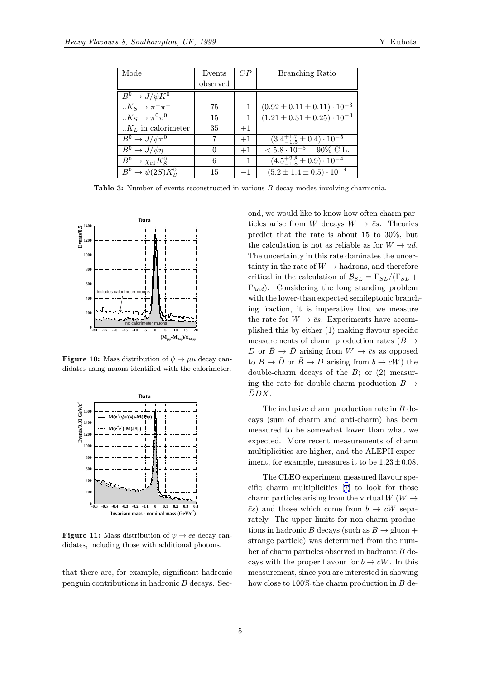|  | Y. Kubota |  |
|--|-----------|--|
|  |           |  |

| Mode                          | Events   | CP   | <b>Branching Ratio</b>                           |
|-------------------------------|----------|------|--------------------------------------------------|
|                               | observed |      |                                                  |
| $B^0 \to J/\psi K^0$          |          |      |                                                  |
| $K_S \rightarrow \pi^+ \pi^-$ | 75       | $-1$ | $(0.92 \pm 0.11 \pm 0.11) \cdot 10^{-3}$         |
| $K_S \to \pi^0 \pi^0$         | 15       | $-1$ | $(1.21 \pm 0.31 \pm 0.25) \cdot 10^{-3}$         |
| $.K_L$ in calorimeter         | 35       | $+1$ |                                                  |
| $B^0 \to J/\psi \pi^0$        | 7        | $+1$ | $(3.4^{+1.7}_{-1.5} \pm 0.4) \cdot 10^{-5}$      |
| $B^0 \to J/\psi\eta$          | $\theta$ | $+1$ | $\epsilon$ 5.8 $\cdot$ 10 <sup>-5</sup> 90% C.L. |
| $B^0 \to \chi_{c1} K^0_S$     | 6        | $-1$ | $(4.5^{+2.8}_{-1.8} \pm 0.9) \cdot 10^{-4}$      |
| $B^0 \to \psi(2S)K^0_S$       | 15       | $-1$ | $(5.2 \pm 1.4 \pm 0.5) \cdot 10^{-4}$            |

Table 3: Number of events reconstructed in various <sup>B</sup> decay modes involving charmonia.



**Figure 10:** Mass distribution of  $\psi \rightarrow \mu\mu$  decay candidates using muons identified with the calorimeter.



**Figure 11:** Mass distribution of  $\psi \rightarrow ee$  decay candidates, including those with additional photons.

that there are, for example, significant hadronic penguin contributions in hadronic B decays. Second, we would like to know how often charm particles arise from W decays  $W \to \bar{c}s$ . Theories predict that the rate is about 15 to 30%, but the calculation is not as reliable as for  $W \to \bar{u}d$ . The uncertainty in this rate dominates the uncertainty in the rate of  $W \to$  hadrons, and therefore critical in the calculation of  $\mathcal{B}_{SL} = \Gamma_{SL}/(\Gamma_{SL} +$  $\Gamma_{had}$ ). Considering the long standing problem with the lower-than expected semileptonic branching fraction, it is imperative that we measure the rate for  $W \to \bar{c}s$ . Experiments have accomplished this by either (1) making flavour specific measurements of charm production rates ( $B \rightarrow$ D or  $\bar{B} \to \bar{D}$  arising from  $W \to \bar{c}s$  as opposed to  $B \to \bar{D}$  or  $\bar{B} \to D$  arising from  $b \to cW$ ) the double-charm decays of the  $B$ ; or  $(2)$  measuring the rate for double-charm production  $B \rightarrow$  $\bar{D}DX.$ 

The inclusive charm production rate in B decays (sum of charm and anti-charm) has been measured to be somewhat lower than what we expected. More recent measurements of charm multiplicities are higher, and the ALEPH experiment, for example, measures it to be  $1.23 \pm 0.08$ .

The CLEO experiment measured flavour specific charm multiplicities [7] to look for those charm particles arising from the virtual  $W(W \rightarrow$  $\bar{c}s$ ) and those which come from  $b \to cW$  separately. The upper limits for non-charm produc-tions in hadronic B decays [\(su](#page-7-0)ch as  $B \to \text{gluon} +$ strange particle) was determined from the number of charm particles observed in hadronic B decays with the proper flavour for  $b \to cW$ . In this measurement, since you are interested in showing how close to  $100\%$  the charm production in  $B$  de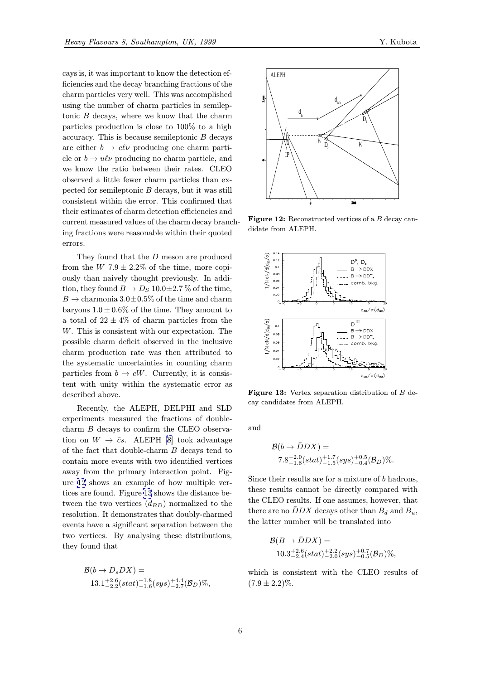cays is, it was important to know the detection efficiencies and the decay branching fractions of the charm particles very well. This was accomplished using the number of charm particles in semileptonic  $B$  decays, where we know that the charm particles production is close to 100% to a high accuracy. This is because semileptonic  $B$  decays are either  $b \to c\ell\nu$  producing one charm particle or  $b \to u\ell\nu$  producing no charm particle, and we know the ratio between their rates. CLEO observed a little fewer charm particles than expected for semileptonic  $B$  decays, but it was still consistent within the error. This confirmed that their estimates of charm detection efficiencies and current measured values of the charm decay branching fractions were reasonable within their quoted errors.

They found that the D meson are produced from the W 7.9  $\pm$  2.2% of the time, more copiously than naively thought previously. In addition, they found  $B \to D_S 10.0 \pm 2.7 \%$  of the time,  $B \to \text{charmonia } 3.0 \pm 0.5\%$  of the time and charm baryons  $1.0 \pm 0.6\%$  of the time. They amount to a total of  $22 \pm 4\%$  of charm particles from the W. This is consistent with our expectation. The possible charm deficit observed in the inclusive charm production rate was then attributed to the systematic uncertainties in counting charm particles from  $b \to cW$ . Currently, it is consistent with unity within the systematic error as described above.

Recently, the ALEPH, DELPHI and SLD experiments measured the fractions of doublecharm B decays to confirm the CLEO observation on  $W \rightarrow \bar{c}s$ . ALEPH [8] took advantage of the fact that double-charm B decays tend to contain more events with two identified vertices away from the primary interaction point. Figure 12 shows an example of [h](#page-7-0)ow multiple vertices are found. Figure 13 shows the distance between the two vertices  $(d_{BD})$  normalized to the resolution. It demonstrates that doubly-charmed events have a significant separation between the two vertices. By analysing these distributions, they found that

$$
\mathcal{B}(b \to D_sDX) =
$$
  
13.1<sup>+2.6</sup><sub>-2.2</sub>(stat)<sup>+1.8</sup><sub>-1.6</sub>(sys)<sup>+4.4</sup><sub>-2.7</sub>( $\mathcal{B}_D$ )%,



Figure 12: Reconstructed vertices of a B decay candidate from ALEPH.



Figure 13: Vertex separation distribution of <sup>B</sup> decay candidates from ALEPH.

and

$$
\mathcal{B}(b \to \bar{D}DX) =
$$
  
7.8<sup>+2.0</sup><sub>-1.8</sub>(stat)<sup>+1.7</sup><sub>-1.5</sub>(sys)<sup>+0.5</sup><sub>-0.4</sub>(B<sub>D</sub>)%.

Since their results are for a mixture of b hadrons, these results cannot be directly compared with the CLEO results. If one assumes, however, that there are no  $\bar{D}DX$  decays other than  $B_d$  and  $B_u$ , the latter number will be translated into

$$
\mathcal{B}(B \to \bar{D}DX) = \n10.3^{+2.6}_{-2.4}(stat)^{+2.2}_{-2.0}(sys)^{+0.7}_{-0.5}(\mathcal{B}_D)\%,
$$

which is consistent with the CLEO results of  $(7.9 \pm 2.2)\%$ .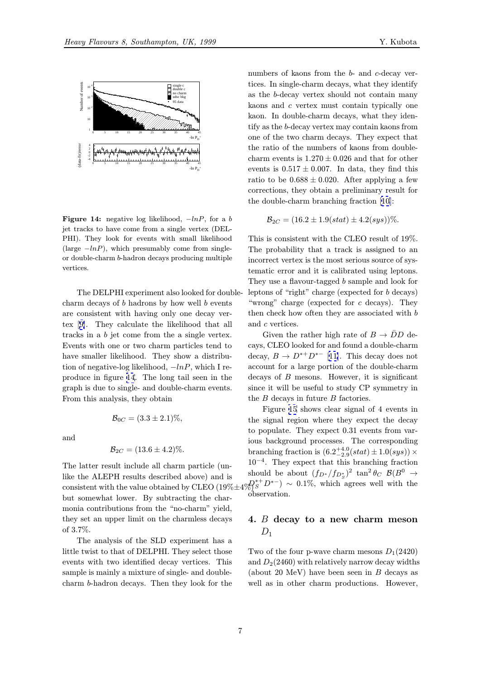

**Figure 14:** negative log likelihood,  $-\ln P$ , for a b jet tracks to have come from a single vertex (DEL-PHI). They look for events with small likelihood (large  $-lnP$ ), which presumably come from singleor double-charm b-hadron decays producing multiple vertices.

The DELPHI experiment also looked for doublecharm decays of  $b$  hadrons by how well  $b$  events are consistent with having only one decay vertex [9]. They calculate the likelihood that all tracks in a b jet come from the a single vertex. Events with one or two charm particles tend to have smaller likelihood. They show a distribution [of](#page-7-0) negative-log likelihood,  $-lnP$ , which I reproduce in figure 14. The long tail seen in the graph is due to single- and double-charm events. From this analysis, they obtain

and

$$
\mathcal{B}_{2C} = (13.6 \pm 4.2)\%.
$$

 $\mathcal{B}_{0C} = (3.3 \pm 2.1)\%,$ 

The latter result include all charm particle (unlike the ALEPH results described above) and is consistent with the value obtained by CLEO (19% $\pm 4\%$ )  $\approx 0.1\%$ , which agrees well with the consistent with the but somewhat lower. By subtracting the charmonia contributions from the "no-charm" yield, they set an upper limit on the charmless decays of 3.7%.

The analysis of the SLD experiment has a little twist to that of DELPHI. They select those events with two identified decay vertices. This sample is mainly a mixture of single- and doublecharm b-hadron decays. Then they look for the

numbers of kaons from the b- and c-decay vertices. In single-charm decays, what they identify as the b-decay vertex should not contain many kaons and c vertex must contain typically one kaon. In double-charm decays, what they identify as the b-decay vertex may contain kaons from one of the two charm decays. They expect that the ratio of the numbers of kaons from doublecharm events is  $1.270 \pm 0.026$  and that for other events is  $0.517 \pm 0.007$ . In data, they find this ratio to be  $0.688 \pm 0.020$ . After applying a few corrections, they obtain a preliminary result for the double-charm branching fraction [10]:

$$
\mathcal{B}_{2C} = (16.2 \pm 1.9(stat) \pm 4.2(sys))\%.
$$

This is consistent with the CLEO res[ult](#page-8-0) of 19%. The probability that a track is assigned to an incorrect vertex is the most serious source of systematic error and it is calibrated using leptons. They use a flavour-tagged b sample and look for leptons of "right" charge (expected for b decays) "wrong" charge (expected for  $c$  decays). They then check how often they are associated with b and c vertices.

Given the rather high rate of  $B \to \bar{D}D$  decays, CLEO looked for and found a double-charm decay,  $B \to D^{*+}D^{*-}$  [11]. This decay does not account for a large portion of the double-charm decays of  $B$  mesons. However, it is significant since it will be useful to study CP symmetry in the  $B$  decays in future  $B$  factories.

Figure 15 shows clear signal of 4 events in the signal region where they expect the decay to populate. They expect 0.31 events from various background processes. The corresponding branching f[rac](#page-7-0)tion is  $(6.2^{+4.0}_{-2.9}(stat) \pm 1.0(sys)) \times$  $10^{-4}$ . They expect that this branching fraction should be about  $(f_{D^*}/f_{D^*_S})^2 \tan^2 \theta_C \mathcal{B}(B^0 \rightarrow$ observation.

## 4. B decay to a new charm meson  $D_1$

Two of the four p-wave charm mesons  $D_1(2420)$ and  $D_2(2460)$  with relatively narrow decay widths (about 20 MeV) have been seen in  $B$  decays as well as in other charm productions. However,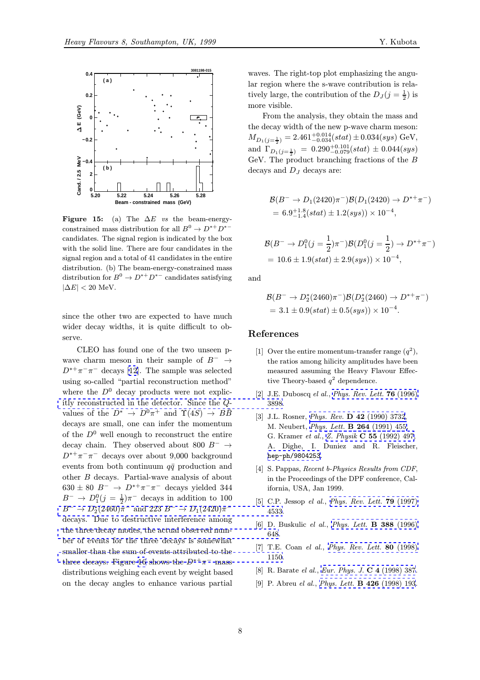<span id="page-7-0"></span>

Figure 15: (a) The  $\Delta E$  vs the beam-energyconstrained mass distribution for all  $B^0 \to D^{*+}D^{*-}$ candidates. The signal region is indicated by the box with the solid line. There are four candidates in the signal region and a total of 41 candidates in the entire distribution. (b) The beam-energy-constrained mass distribution for  $B^0 \to D^{*+}D^{*-}$  candidates satisfying  $|\Delta E| < 20$  MeV.

since the other two are expected to have much wider decay widths, it is quite difficult to observe.

CLEO has found one of the two unseen pwave charm meson in their sample of  $B^- \rightarrow$  $D^{*+}\pi^-\pi^-$  decays [12]. The sample was selected using so-called "partial reconstruction method" where the  $D^0$  decay products were not explicitly reconstructed in the detector. Since the Qvalues of the  $D^* \rightarrow D^0 \pi^+$  and  $\Upsilon(4S) \rightarrow B\overline{B}$ decays are small, one can infer the momentum of the  $D^0$  well enough to reconstruct the entire [decay chain. They observed about 800](http://www-spires.slac.stanford.edu/spires/find/hep/www?j=PRLTA%2C76%2C3898)  $B^- \rightarrow$  $D^{*+}\pi^-\pi^-$  decays over about 9,000 background events from both continuum  $q\bar{q}$  production and other B decays. Partial-wave analysis of about  $630 \pm 80$   $B^ \rightarrow$   $D^{*+}\pi^-\pi^-$  decays yielded 344  $B^ \rightarrow D_1^0(j = \frac{1}{2})\pi^-$  decays in addition to 100  $B^- \to D_2^*(2460)\pi^-$  and  $223$   $B^- \to D_1(2420)\pi^$ decays. Due to destructive interference among the three decay modes, the actual observed number of events for the three decays is somewhat [smaller than the sum of events attributed to the](http://www-spires.slac.stanford.edu/spires/find/hep/www?j=PRLTA%2C79%2C4533) three decays. Figure 16 shows the  $D^{*+}\pi^-$  mass [distributions weighing each event by weight based](http://www-spires.slac.stanford.edu/spires/find/hep/www?j=PHLTA%2CB388%2C648) on the decay angles to enhance various partial

waves. The right-top plot emphasizing the angular region where the s-wave contribution is relatively large, the contribution of the  $D_J (j = \frac{1}{2})$  is more visible.

From the analysis, they obtain the mass and the decay width of the new p-wave charm meson:  $M_{D_1(j=\frac{1}{2})}=2.461^{+0.014}_{-0.034}(stat) \pm 0.034(sys) \; \textrm{GeV},$ and  $\Gamma_{D_1(j=\frac{1}{2})}$  = 0.290<sup>+0.101</sup><sub>0.079</sub>(stat) ± 0.044(sys) GeV. The product branching fractions of the B decays and  $D_J$  decays are:

$$
\mathcal{B}(B^{-} \to D_{1}(2420)\pi^{-})\mathcal{B}(D_{1}(2420) \to D^{*+}\pi^{-})
$$
  
= 6.9<sup>+1.8</sup><sub>-1.4</sub>(stat) ± 1.2(sys)) × 10<sup>-4</sup>,

$$
\mathcal{B}(B^- \to D_1^0(j = \frac{1}{2})\pi^-)\mathcal{B}(D_1^0(j = \frac{1}{2}) \to D^{*+}\pi^-)
$$
  
= 10.6 \pm 1.9(stat) \pm 2.9(sys)) \times 10^{-4},

and

$$
\mathcal{B}(B^- \to D_2^*(2460)\pi^-)\mathcal{B}(D_2^*(2460) \to D^{*+}\pi^-)
$$
  
= 3.1 \pm 0.9(stat) \pm 0.5(sys)) × 10<sup>-4</sup>.

#### References

- [1] Over the entire momentum-transfer range  $(q^2)$ , the ratios among hilicity amplitudes have been measured assuming the Heavy Flavour Effective Theory-based  $q^2$  dependence.
- [2] J.E. Duboscq el al., Phys. Rev. Lett.  $76$  (1996) 3898.
- [3] J.L. Rosner, Phys. Rev. D 42 (1990) 3732, M. Neubert, Phys. Lett. B 264 (1991) 455, G. Kramer et al., Z. Physik C 55 [\(1992\) 497,](http://www-spires.slac.stanford.edu/spires/find/hep/www?j=PRLTA%2C76%2C3898) A. Dighe, I. Duniez and R. Fleischer, hep-ph/9804[253](http://www-spires.slac.stanford.edu/spires/find/hep/www?j=PHRVA%2CD42%2C3732).
- [4] S. Pappas, *R[ecent b-Physics Results from CD](http://www-spires.slac.stanford.edu/spires/find/hep/www?j=PHLTA%2CB264%2C455)F*, in the Proceeding[s of the DPF conference, Cal](http://www-spires.slac.stanford.edu/spires/find/hep/www?j=ZEPYA%2CC55%2C497)ifornia, USA, Jan 1999.
- [5] [C.P.](http://xxx.lanl.gov/abs/hep-ph/9804253) [Jessop](http://xxx.lanl.gov/abs/hep-ph/9804253) el al., *Phys. Rev. Lett.* **79** (1997) 4533.
- [6] D. Buskulic el al., Phys. Lett. B 388 (1996) 648.
- [7] T.E. Coan el al., *[Phys.](http://www-spires.slac.stanford.edu/spires/find/hep/www?j=PRLTA%2C79%2C4533) [Rev.](http://www-spires.slac.stanford.edu/spires/find/hep/www?j=PRLTA%2C79%2C4533) [Lett.](http://www-spires.slac.stanford.edu/spires/find/hep/www?j=PRLTA%2C79%2C4533)* **80** (1998) 1150.
- [8] R. Barate el al., Eur. Phys. J. C 4 [\(1998\)](http://www-spires.slac.stanford.edu/spires/find/hep/www?j=PHLTA%2CB388%2C648) [387.](http://www-spires.slac.stanford.edu/spires/find/hep/www?j=PHLTA%2CB388%2C648)
- [9] P. Abreu el al., *Phys. Lett.* **B 426** [\(1998\) 193.](http://www-spires.slac.stanford.edu/spires/find/hep/www?j=PRLTA%2C80%2C1150)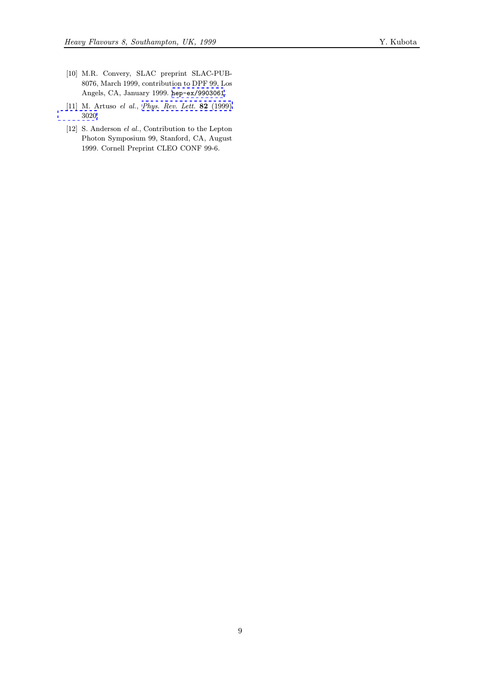- <span id="page-8-0"></span>[10] M.R. Convery, SLAC preprint SLAC-PUB-8076, March 1999, contribution to DPF 99, Los Angels, CA, January 1999. hep-ex/9903061.
- [11] M. Artuso el al., Phys. Rev. Lett. 82 (1999) 3020.
- [12] S. Anderson el al., Contrib[ution to the Lept](http://xxx.lanl.gov/abs/hep-ex/9903061)on Photon Symposium 99, Stanford, CA, August [1999.](http://www-spires.slac.stanford.edu/spires/find/hep/www?j=PRLTA%2C82%2C3020) Cornell Pre[print CLEO CONF 99-6.](http://www-spires.slac.stanford.edu/spires/find/hep/www?j=PRLTA%2C82%2C3020)